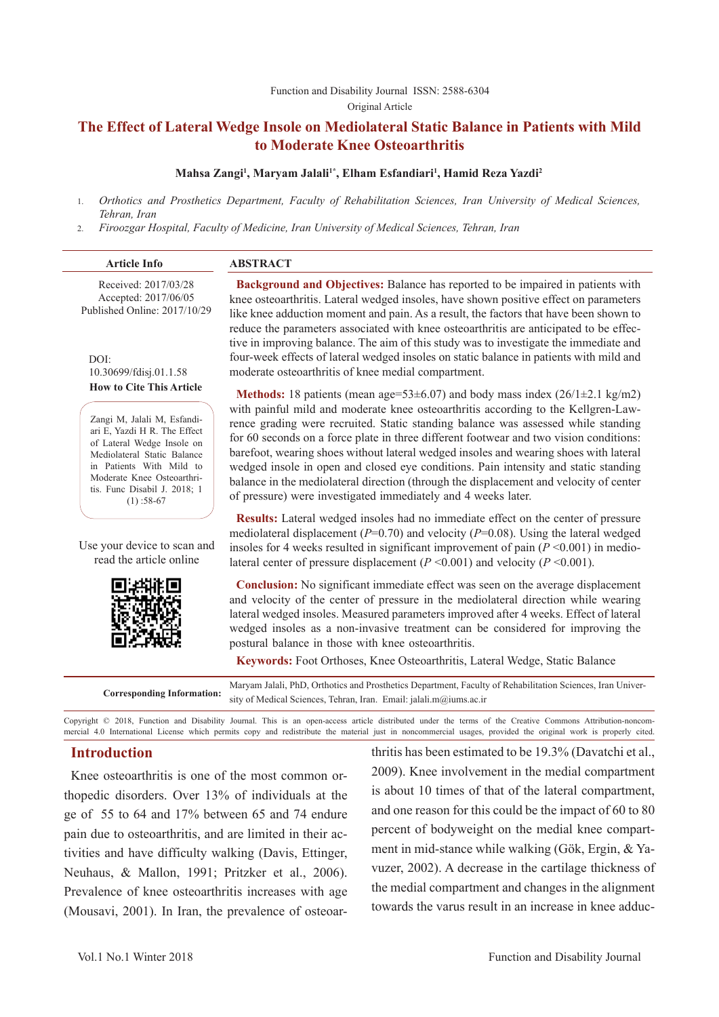#### Function and Disability Journal ISSN: 2588-6304 Original Article

# **The Effect of Lateral Wedge Insole on Mediolateral Static Balance in Patients with Mild to Moderate Knee Osteoarthritis**

# **Mahsa Zangi1 , Maryam Jalali1\*, Elham Esfandiari1 , Hamid Reza Yazdi2**

- 1. *Orthotics and Prosthetics Department, Faculty of Rehabilitation Sciences, Iran University of Medical Sciences, Tehran, Iran*
- 2. *Firoozgar Hospital, Faculty of Medicine, Iran University of Medical Sciences, Tehran, Iran*

| <b>Article Info</b>                                                          | <b>ABSTRACT</b>                                                                                                                                                                                                                                                          |
|------------------------------------------------------------------------------|--------------------------------------------------------------------------------------------------------------------------------------------------------------------------------------------------------------------------------------------------------------------------|
| Received: 2017/03/28<br>Accepted: 2017/06/05<br>Published Online: 2017/10/29 | <b>Background and Objectives:</b> Balance has reported to be impaired in patients with<br>knee osteoarthritis. Lateral wedged insoles, have shown positive effect on parameters<br>like knee adduction moment and pain. As a result, the factors that have been shown to |

DOI: 10.30699/fdisj.01.1.58 **How to Cite This Article**

Zangi M, Jalali M, Esfandiari E, Yazdi H R. The Effect of Lateral Wedge Insole on Mediolateral Static Balance in Patients With Mild to Moderate Knee Osteoarthritis. Func Disabil J. 2018; 1  $(1)$ :58-67

Use your device to scan and read the article online



reduce the parameters associated with knee osteoarthritis are anticipated to be effective in improving balance. The aim of this study was to investigate the immediate and four-week effects of lateral wedged insoles on static balance in patients with mild and moderate osteoarthritis of knee medial compartment.

**Methods:** 18 patients (mean age=53±6.07) and body mass index (26/1±2.1 kg/m2) with painful mild and moderate knee osteoarthritis according to the Kellgren-Lawrence grading were recruited. Static standing balance was assessed while standing for 60 seconds on a force plate in three different footwear and two vision conditions: barefoot, wearing shoes without lateral wedged insoles and wearing shoes with lateral wedged insole in open and closed eye conditions. Pain intensity and static standing balance in the mediolateral direction (through the displacement and velocity of center of pressure) were investigated immediately and 4 weeks later.

**Results:** Lateral wedged insoles had no immediate effect on the center of pressure mediolateral displacement (*P*=0.70) and velocity (*P*=0.08). Using the lateral wedged insoles for 4 weeks resulted in significant improvement of pain  $(P \le 0.001)$  in mediolateral center of pressure displacement  $(P \le 0.001)$  and velocity  $(P \le 0.001)$ .

**Conclusion:** No significant immediate effect was seen on the average displacement and velocity of the center of pressure in the mediolateral direction while wearing lateral wedged insoles. Measured parameters improved after 4 weeks. Effect of lateral wedged insoles as a non-invasive treatment can be considered for improving the postural balance in those with knee osteoarthritis.

**Keywords:** Foot Orthoses, Knee Osteoarthritis, Lateral Wedge, Static Balance

Maryam Jalali, PhD, Orthotics and Prosthetics Department, Faculty of Rehabilitation Sciences, Iran University of Medical Sciences, Tehran, Iran. Email: jalali.m@iums.ac.ir

Copyright © 2018, Function and Disability Journal. This is an open-access article distributed under the terms of the Creative Commons Attribution-noncommercial 4.0 International License which permits copy and redistribute the material just in noncommercial usages, provided the original work is properly cited.

# **Introduction**

Knee osteoarthritis is one of the most common orthopedic disorders. Over 13% of individuals at the ge of 55 to 64 and 17% between 65 and 74 endure pain due to osteoarthritis, and are limited in their activities and have difficulty walking (Davis, Ettinger, Neuhaus, & Mallon, 1991; Pritzker et al., 2006). Prevalence of knee osteoarthritis increases with age (Mousavi, 2001). In Iran, the prevalence of osteoarthritis has been estimated to be 19.3% (Davatchi et al., 2009). Knee involvement in the medial compartment is about 10 times of that of the lateral compartment, and one reason for this could be the impact of 60 to 80 percent of bodyweight on the medial knee compartment in mid-stance while walking (Gök, Ergin, & Yavuzer, 2002). A decrease in the cartilage thickness of the medial compartment and changes in the alignment towards the varus result in an increase in knee adduc-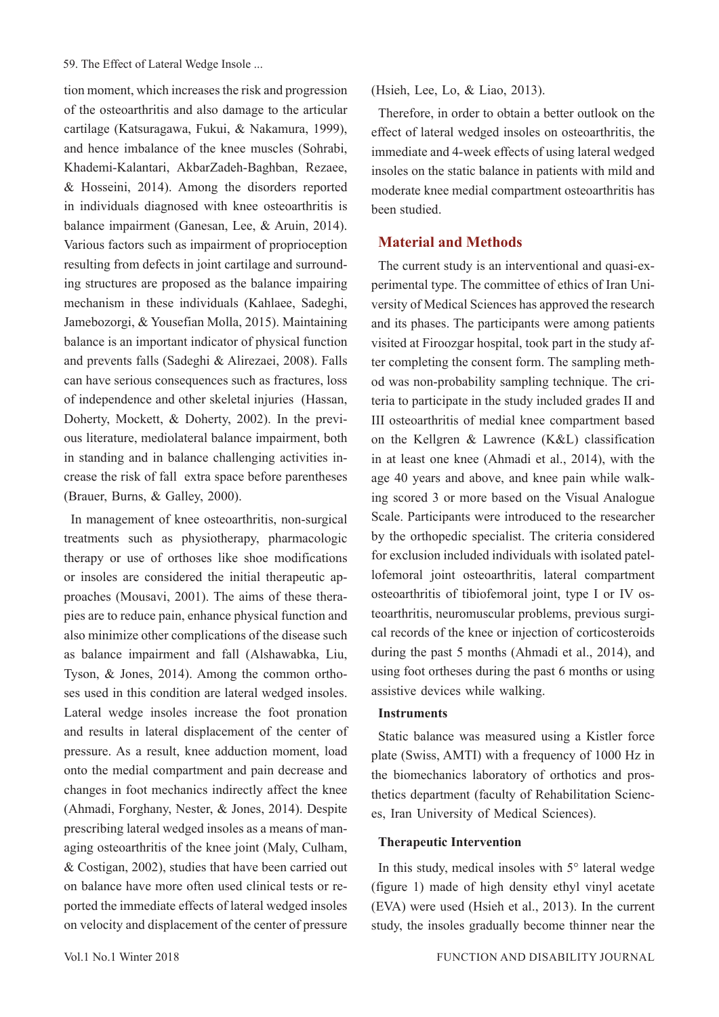tion moment, which increases the risk and progression of the osteoarthritis and also damage to the articular cartilage (Katsuragawa, Fukui, & Nakamura, 1999), and hence imbalance of the knee muscles (Sohrabi, Khademi-Kalantari, AkbarZadeh-Baghban, Rezaee, & Hosseini, 2014). Among the disorders reported in individuals diagnosed with knee osteoarthritis is balance impairment (Ganesan, Lee, & Aruin, 2014). Various factors such as impairment of proprioception resulting from defects in joint cartilage and surrounding structures are proposed as the balance impairing mechanism in these individuals (Kahlaee, Sadeghi, Jamebozorgi, & Yousefian Molla, 2015). Maintaining balance is an important indicator of physical function and prevents falls (Sadeghi & Alirezaei, 2008). Falls can have serious consequences such as fractures, loss of independence and other skeletal injuries (Hassan, Doherty, Mockett, & Doherty, 2002). In the previous literature, mediolateral balance impairment, both in standing and in balance challenging activities increase the risk of fall extra space before parentheses (Brauer, Burns, & Galley, 2000).

In management of knee osteoarthritis, non-surgical treatments such as physiotherapy, pharmacologic therapy or use of orthoses like shoe modifications or insoles are considered the initial therapeutic approaches (Mousavi, 2001). The aims of these therapies are to reduce pain, enhance physical function and also minimize other complications of the disease such as balance impairment and fall (Alshawabka, Liu, Tyson, & Jones, 2014). Among the common orthoses used in this condition are lateral wedged insoles. Lateral wedge insoles increase the foot pronation and results in lateral displacement of the center of pressure. As a result, knee adduction moment, load onto the medial compartment and pain decrease and changes in foot mechanics indirectly affect the knee (Ahmadi, Forghany, Nester, & Jones, 2014). Despite prescribing lateral wedged insoles as a means of managing osteoarthritis of the knee joint (Maly, Culham, & Costigan, 2002), studies that have been carried out on balance have more often used clinical tests or reported the immediate effects of lateral wedged insoles on velocity and displacement of the center of pressure

(Hsieh, Lee, Lo, & Liao, 2013).

Therefore, in order to obtain a better outlook on the effect of lateral wedged insoles on osteoarthritis, the immediate and 4-week effects of using lateral wedged insoles on the static balance in patients with mild and moderate knee medial compartment osteoarthritis has been studied.

# **Material and Methods**

The current study is an interventional and quasi-experimental type. The committee of ethics of Iran University of Medical Sciences has approved the research and its phases. The participants were among patients visited at Firoozgar hospital, took part in the study after completing the consent form. The sampling method was non-probability sampling technique. The criteria to participate in the study included grades II and III osteoarthritis of medial knee compartment based on the Kellgren & Lawrence (K&L) classification in at least one knee (Ahmadi et al., 2014), with the age 40 years and above, and knee pain while walking scored 3 or more based on the Visual Analogue Scale. Participants were introduced to the researcher by the orthopedic specialist. The criteria considered for exclusion included individuals with isolated patellofemoral joint osteoarthritis, lateral compartment osteoarthritis of tibiofemoral joint, type I or IV osteoarthritis, neuromuscular problems, previous surgical records of the knee or injection of corticosteroids during the past 5 months (Ahmadi et al., 2014), and using foot ortheses during the past 6 months or using assistive devices while walking.

# **Instruments**

Static balance was measured using a Kistler force plate (Swiss, AMTI) with a frequency of 1000 Hz in the biomechanics laboratory of orthotics and prosthetics department (faculty of Rehabilitation Sciences, Iran University of Medical Sciences).

## **Therapeutic Intervention**

In this study, medical insoles with 5° lateral wedge (figure 1) made of high density ethyl vinyl acetate (EVA) were used (Hsieh et al., 2013). In the current study, the insoles gradually become thinner near the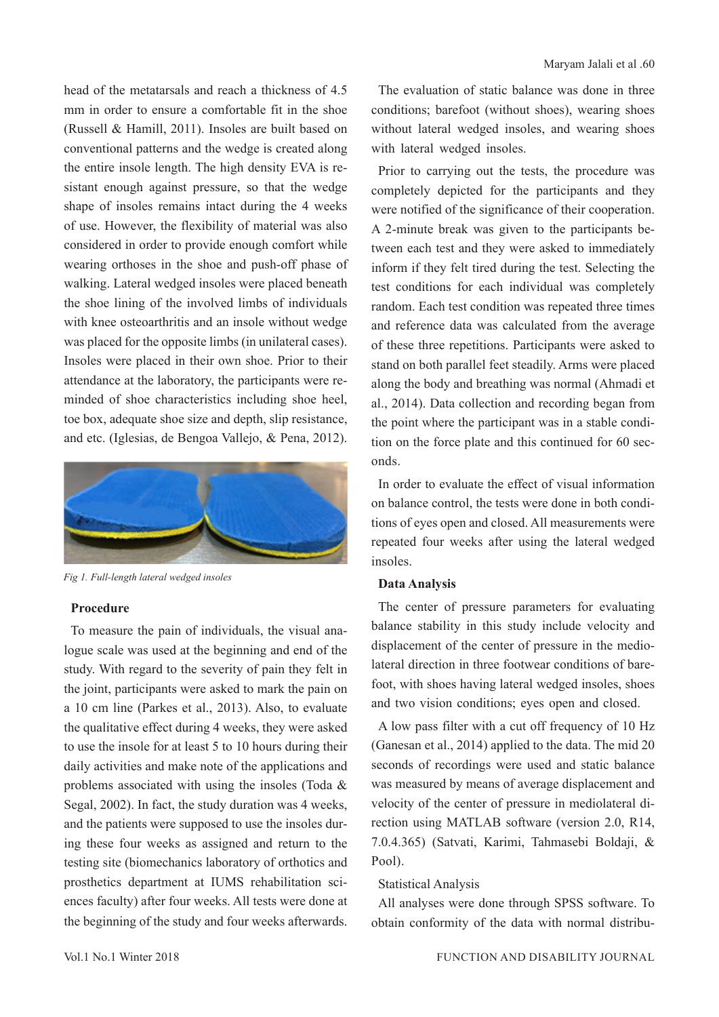head of the metatarsals and reach a thickness of 4.5 mm in order to ensure a comfortable fit in the shoe (Russell & Hamill, 2011). Insoles are built based on conventional patterns and the wedge is created along the entire insole length. The high density EVA is resistant enough against pressure, so that the wedge shape of insoles remains intact during the 4 weeks of use. However, the flexibility of material was also considered in order to provide enough comfort while wearing orthoses in the shoe and push-off phase of walking. Lateral wedged insoles were placed beneath the shoe lining of the involved limbs of individuals with knee osteoarthritis and an insole without wedge was placed for the opposite limbs (in unilateral cases). Insoles were placed in their own shoe. Prior to their attendance at the laboratory, the participants were reminded of shoe characteristics including shoe heel, toe box, adequate shoe size and depth, slip resistance, and etc. (Iglesias, de Bengoa Vallejo, & Pena, 2012).



*Fig 1. Full-length lateral wedged insoles*

#### **Procedure**

To measure the pain of individuals, the visual analogue scale was used at the beginning and end of the study. With regard to the severity of pain they felt in the joint, participants were asked to mark the pain on a 10 cm line (Parkes et al., 2013). Also, to evaluate the qualitative effect during 4 weeks, they were asked to use the insole for at least 5 to 10 hours during their daily activities and make note of the applications and problems associated with using the insoles (Toda & Segal, 2002). In fact, the study duration was 4 weeks, and the patients were supposed to use the insoles during these four weeks as assigned and return to the testing site (biomechanics laboratory of orthotics and prosthetics department at IUMS rehabilitation sciences faculty) after four weeks. All tests were done at the beginning of the study and four weeks afterwards.

The evaluation of static balance was done in three conditions; barefoot (without shoes), wearing shoes without lateral wedged insoles, and wearing shoes with lateral wedged insoles.

Prior to carrying out the tests, the procedure was completely depicted for the participants and they were notified of the significance of their cooperation. A 2-minute break was given to the participants between each test and they were asked to immediately inform if they felt tired during the test. Selecting the test conditions for each individual was completely random. Each test condition was repeated three times and reference data was calculated from the average of these three repetitions. Participants were asked to stand on both parallel feet steadily. Arms were placed along the body and breathing was normal (Ahmadi et al., 2014). Data collection and recording began from the point where the participant was in a stable condition on the force plate and this continued for 60 seconds.

In order to evaluate the effect of visual information on balance control, the tests were done in both conditions of eyes open and closed. All measurements were repeated four weeks after using the lateral wedged insoles.

## **Data Analysis**

The center of pressure parameters for evaluating balance stability in this study include velocity and displacement of the center of pressure in the mediolateral direction in three footwear conditions of barefoot, with shoes having lateral wedged insoles, shoes and two vision conditions; eyes open and closed.

A low pass filter with a cut off frequency of 10 Hz (Ganesan et al., 2014) applied to the data. The mid 20 seconds of recordings were used and static balance was measured by means of average displacement and velocity of the center of pressure in mediolateral direction using MATLAB software (version 2.0, R14, 7.0.4.365) (Satvati, Karimi, Tahmasebi Boldaji, & Pool).

#### Statistical Analysis

All analyses were done through SPSS software. To obtain conformity of the data with normal distribu-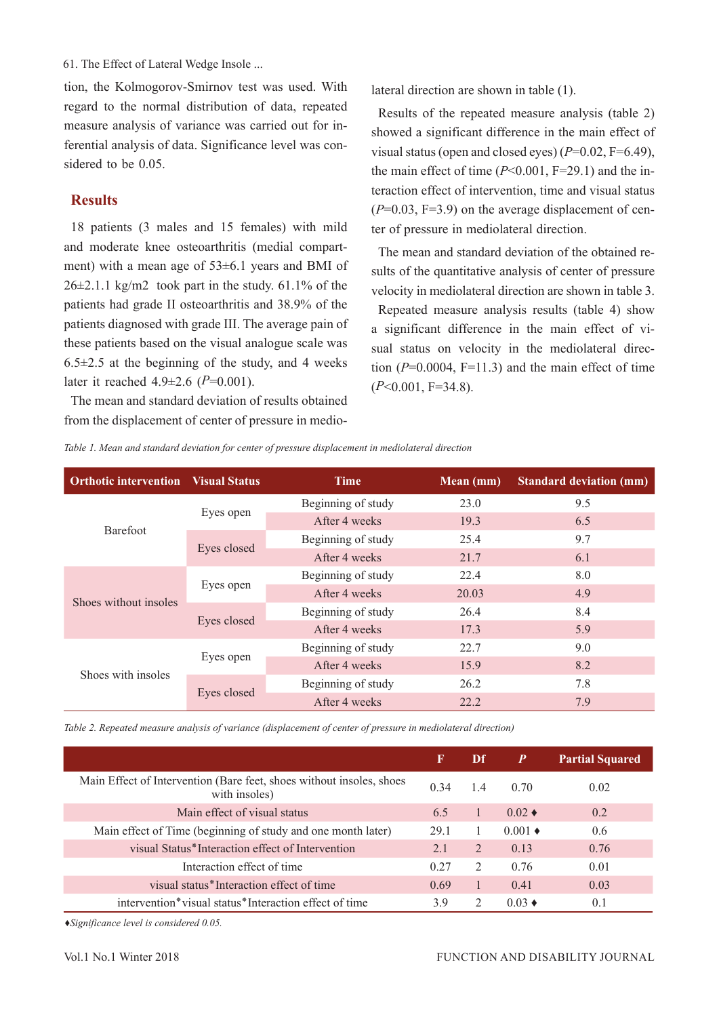tion, the Kolmogorov-Smirnov test was used. With regard to the normal distribution of data, repeated measure analysis of variance was carried out for inferential analysis of data. Significance level was considered to be 0.05.

# **Results**

18 patients (3 males and 15 females) with mild and moderate knee osteoarthritis (medial compartment) with a mean age of 53±6.1 years and BMI of  $26\pm2.1.1$  kg/m2 took part in the study. 61.1% of the patients had grade II osteoarthritis and 38.9% of the patients diagnosed with grade III. The average pain of these patients based on the visual analogue scale was  $6.5\pm2.5$  at the beginning of the study, and 4 weeks later it reached 4.9±2.6 (*P*=0.001).

The mean and standard deviation of results obtained from the displacement of center of pressure in mediolateral direction are shown in table (1).

Results of the repeated measure analysis (table 2) showed a significant difference in the main effect of visual status (open and closed eyes) (*P*=0.02, F=6.49), the main effect of time  $(P<0.001, F=29.1)$  and the interaction effect of intervention, time and visual status  $(P=0.03, F=3.9)$  on the average displacement of center of pressure in mediolateral direction.

The mean and standard deviation of the obtained results of the quantitative analysis of center of pressure velocity in mediolateral direction are shown in table 3.

Repeated measure analysis results (table 4) show a significant difference in the main effect of visual status on velocity in the mediolateral direction  $(P=0.0004, F=11.3)$  and the main effect of time (*P*<0.001, F=34.8).

*Table 1. Mean and standard deviation for center of pressure displacement in mediolateral direction*

| <b>Orthotic intervention</b> Visual Status |             | <b>Time</b>        | Mean (mm) | <b>Standard deviation (mm)</b> |
|--------------------------------------------|-------------|--------------------|-----------|--------------------------------|
|                                            |             | Beginning of study | 23.0      | 9.5                            |
| Barefoot                                   | Eyes open   | After 4 weeks      | 19.3      | 6.5                            |
|                                            | Eyes closed | Beginning of study | 25.4      | 9.7                            |
|                                            |             | After 4 weeks      | 21.7      | 6.1                            |
| Shoes without insoles                      | Eyes open   | Beginning of study | 22.4      | 8.0                            |
|                                            |             | After 4 weeks      | 20.03     | 4.9                            |
|                                            | Eyes closed | Beginning of study | 26.4      | 8.4                            |
|                                            |             | After 4 weeks      | 17.3      | 5.9                            |
| Shoes with insoles                         |             | Beginning of study | 22.7      | 9.0                            |
|                                            | Eyes open   | After 4 weeks      | 15.9      | 8.2                            |
|                                            | Eyes closed | Beginning of study | 26.2      | 7.8                            |
|                                            |             | After 4 weeks      | 22.2.     | 7.9                            |

*Table 2. Repeated measure analysis of variance (displacement of center of pressure in mediolateral direction)*

|                                                                                       | F    | Df             | $\boldsymbol{P}$      | <b>Partial Squared</b> |
|---------------------------------------------------------------------------------------|------|----------------|-----------------------|------------------------|
| Main Effect of Intervention (Bare feet, shoes without insoles, shoes<br>with insoles) | 0.34 | 1.4            | 0.70                  | 0.02                   |
| Main effect of visual status                                                          | 6.5  |                | $0.02 \triangleleft$  | 0.2                    |
| Main effect of Time (beginning of study and one month later)                          | 29.1 |                | $0.001 \triangleleft$ | 0.6                    |
| visual Status*Interaction effect of Intervention                                      | 2.1  | 2              | 0.13                  | 0.76                   |
| Interaction effect of time                                                            | 0.27 | 2              | 0.76                  | 0.01                   |
| visual status*Interaction effect of time                                              | 0.69 |                | 0.41                  | 0.03                   |
| intervention*visual status*Interaction effect of time                                 | 3.9  | $\mathfrak{D}$ | $0.03 \triangleleft$  | 0.1                    |

*♦Significance level is considered 0.05.*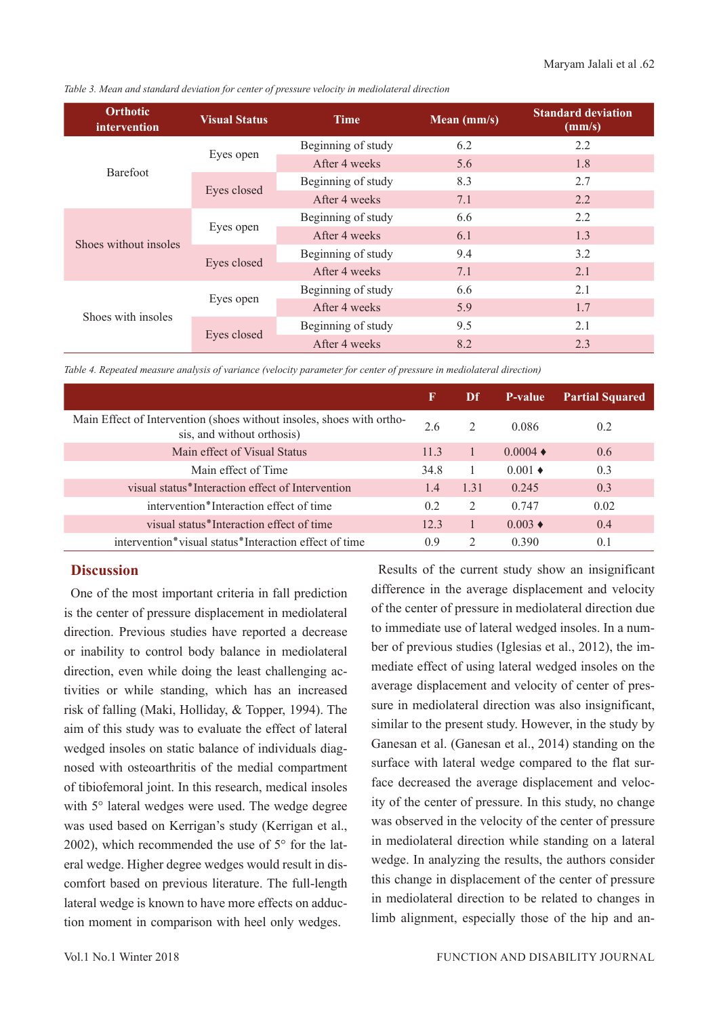|  |  |  | Table 3. Mean and standard deviation for center of pressure velocity in mediolateral direction |  |
|--|--|--|------------------------------------------------------------------------------------------------|--|
|  |  |  |                                                                                                |  |

| <b>Orthotic</b><br>intervention | <b>Visual Status</b> | <b>Time</b>        | Mean (mm/s) | <b>Standard deviation</b><br>(mm/s) |
|---------------------------------|----------------------|--------------------|-------------|-------------------------------------|
|                                 |                      | Beginning of study | 6.2         | 2.2                                 |
| Barefoot                        | Eyes open            | After 4 weeks      | 5.6         | 1.8                                 |
|                                 |                      | Beginning of study | 8.3         | 2.7                                 |
|                                 | Eyes closed          | After 4 weeks      | 7.1         | 2.2                                 |
| Shoes without insoles           |                      | Beginning of study | 6.6         | 2.2                                 |
|                                 | Eyes open            | After 4 weeks      | 6.1         | 1.3                                 |
|                                 | Eyes closed          | Beginning of study | 9.4         | 3.2                                 |
|                                 |                      | After 4 weeks      | 7.1         | 2.1                                 |
|                                 |                      | Beginning of study | 6.6         | 2.1                                 |
| Shoes with insoles              | Eyes open            | After 4 weeks      | 5.9         | 1.7                                 |
|                                 |                      | Beginning of study | 9.5         | 2.1                                 |
|                                 | Eyes closed          | After 4 weeks      | 8.2         | 2.3                                 |

*Table 4. Repeated measure analysis of variance (velocity parameter for center of pressure in mediolateral direction)*

|                                                                                                     | F    | Df            | P-value                | <b>Partial Squared</b> |
|-----------------------------------------------------------------------------------------------------|------|---------------|------------------------|------------------------|
| Main Effect of Intervention (shoes without insoles, shoes with ortho-<br>sis, and without orthosis) | 2.6  | $\mathcal{L}$ | 0.086                  | 0.2                    |
| Main effect of Visual Status                                                                        | 11.3 |               | $0.0004 \triangleleft$ | 0.6                    |
| Main effect of Time                                                                                 | 34.8 |               | $0.001 \triangleleft$  | 0.3                    |
| visual status*Interaction effect of Intervention                                                    | 1.4  | 1.31          | 0.245                  | 0.3                    |
| intervention*Interaction effect of time                                                             | 0.2  | $\mathcal{L}$ | 0.747                  | 0.02                   |
| visual status*Interaction effect of time                                                            | 12.3 |               | $0.003 \triangleleft$  | 0.4                    |
| intervention*visual status*Interaction effect of time                                               | 0.9  | $\mathcal{L}$ | 0.390                  | 0.1                    |

# **Discussion**

One of the most important criteria in fall prediction is the center of pressure displacement in mediolateral direction. Previous studies have reported a decrease or inability to control body balance in mediolateral direction, even while doing the least challenging activities or while standing, which has an increased risk of falling (Maki, Holliday, & Topper, 1994). The aim of this study was to evaluate the effect of lateral wedged insoles on static balance of individuals diagnosed with osteoarthritis of the medial compartment of tibiofemoral joint. In this research, medical insoles with 5° lateral wedges were used. The wedge degree was used based on Kerrigan's study (Kerrigan et al., 2002), which recommended the use of 5° for the lateral wedge. Higher degree wedges would result in discomfort based on previous literature. The full-length lateral wedge is known to have more effects on adduction moment in comparison with heel only wedges.

Results of the current study show an insignificant difference in the average displacement and velocity of the center of pressure in mediolateral direction due to immediate use of lateral wedged insoles. In a number of previous studies (Iglesias et al., 2012), the immediate effect of using lateral wedged insoles on the average displacement and velocity of center of pressure in mediolateral direction was also insignificant, similar to the present study. However, in the study by Ganesan et al. (Ganesan et al., 2014) standing on the surface with lateral wedge compared to the flat surface decreased the average displacement and velocity of the center of pressure. In this study, no change was observed in the velocity of the center of pressure in mediolateral direction while standing on a lateral wedge. In analyzing the results, the authors consider this change in displacement of the center of pressure in mediolateral direction to be related to changes in limb alignment, especially those of the hip and an-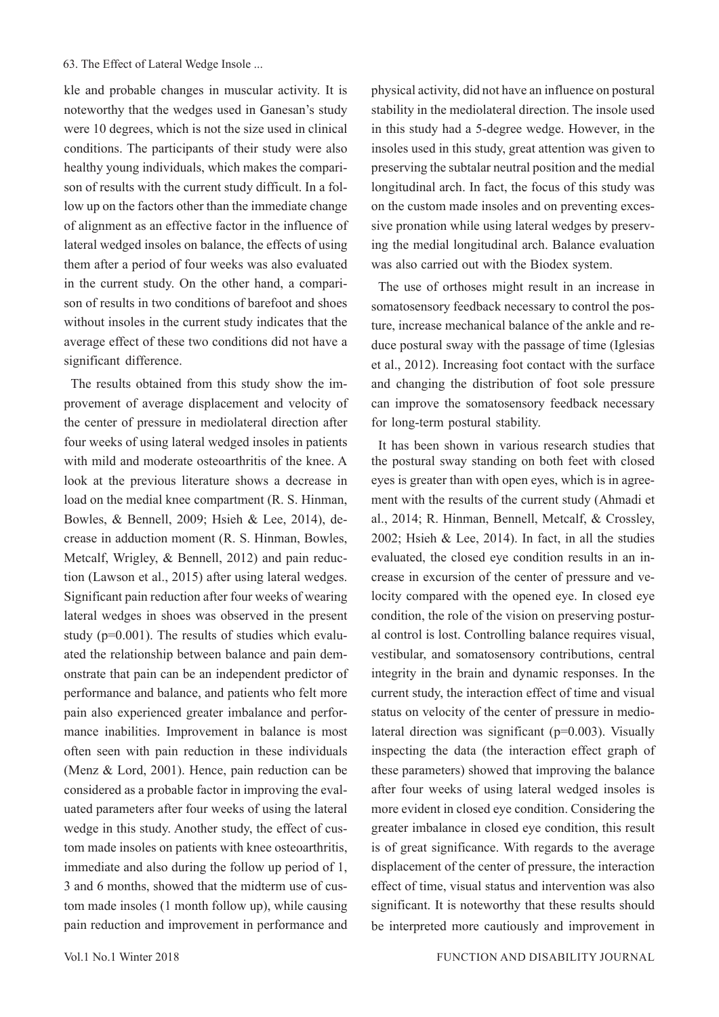kle and probable changes in muscular activity. It is noteworthy that the wedges used in Ganesan's study were 10 degrees, which is not the size used in clinical conditions. The participants of their study were also healthy young individuals, which makes the comparison of results with the current study difficult. In a follow up on the factors other than the immediate change of alignment as an effective factor in the influence of lateral wedged insoles on balance, the effects of using them after a period of four weeks was also evaluated in the current study. On the other hand, a comparison of results in two conditions of barefoot and shoes without insoles in the current study indicates that the average effect of these two conditions did not have a significant difference.

The results obtained from this study show the improvement of average displacement and velocity of the center of pressure in mediolateral direction after four weeks of using lateral wedged insoles in patients with mild and moderate osteoarthritis of the knee. A look at the previous literature shows a decrease in load on the medial knee compartment (R. S. Hinman, Bowles, & Bennell, 2009; Hsieh & Lee, 2014), decrease in adduction moment (R. S. Hinman, Bowles, Metcalf, Wrigley, & Bennell, 2012) and pain reduction (Lawson et al., 2015) after using lateral wedges. Significant pain reduction after four weeks of wearing lateral wedges in shoes was observed in the present study (p=0.001). The results of studies which evaluated the relationship between balance and pain demonstrate that pain can be an independent predictor of performance and balance, and patients who felt more pain also experienced greater imbalance and performance inabilities. Improvement in balance is most often seen with pain reduction in these individuals (Menz & Lord, 2001). Hence, pain reduction can be considered as a probable factor in improving the evaluated parameters after four weeks of using the lateral wedge in this study. Another study, the effect of custom made insoles on patients with knee osteoarthritis, immediate and also during the follow up period of 1, 3 and 6 months, showed that the midterm use of custom made insoles (1 month follow up), while causing pain reduction and improvement in performance and

physical activity, did not have an influence on postural stability in the mediolateral direction. The insole used in this study had a 5-degree wedge. However, in the insoles used in this study, great attention was given to preserving the subtalar neutral position and the medial longitudinal arch. In fact, the focus of this study was on the custom made insoles and on preventing excessive pronation while using lateral wedges by preserving the medial longitudinal arch. Balance evaluation was also carried out with the Biodex system.

The use of orthoses might result in an increase in somatosensory feedback necessary to control the posture, increase mechanical balance of the ankle and reduce postural sway with the passage of time (Iglesias et al., 2012). Increasing foot contact with the surface and changing the distribution of foot sole pressure can improve the somatosensory feedback necessary for long-term postural stability.

It has been shown in various research studies that the postural sway standing on both feet with closed eyes is greater than with open eyes, which is in agreement with the results of the current study (Ahmadi et al., 2014; R. Hinman, Bennell, Metcalf, & Crossley, 2002; Hsieh & Lee, 2014). In fact, in all the studies evaluated, the closed eye condition results in an increase in excursion of the center of pressure and velocity compared with the opened eye. In closed eye condition, the role of the vision on preserving postural control is lost. Controlling balance requires visual, vestibular, and somatosensory contributions, central integrity in the brain and dynamic responses. In the current study, the interaction effect of time and visual status on velocity of the center of pressure in mediolateral direction was significant (p=0.003). Visually inspecting the data (the interaction effect graph of these parameters) showed that improving the balance after four weeks of using lateral wedged insoles is more evident in closed eye condition. Considering the greater imbalance in closed eye condition, this result is of great significance. With regards to the average displacement of the center of pressure, the interaction effect of time, visual status and intervention was also significant. It is noteworthy that these results should be interpreted more cautiously and improvement in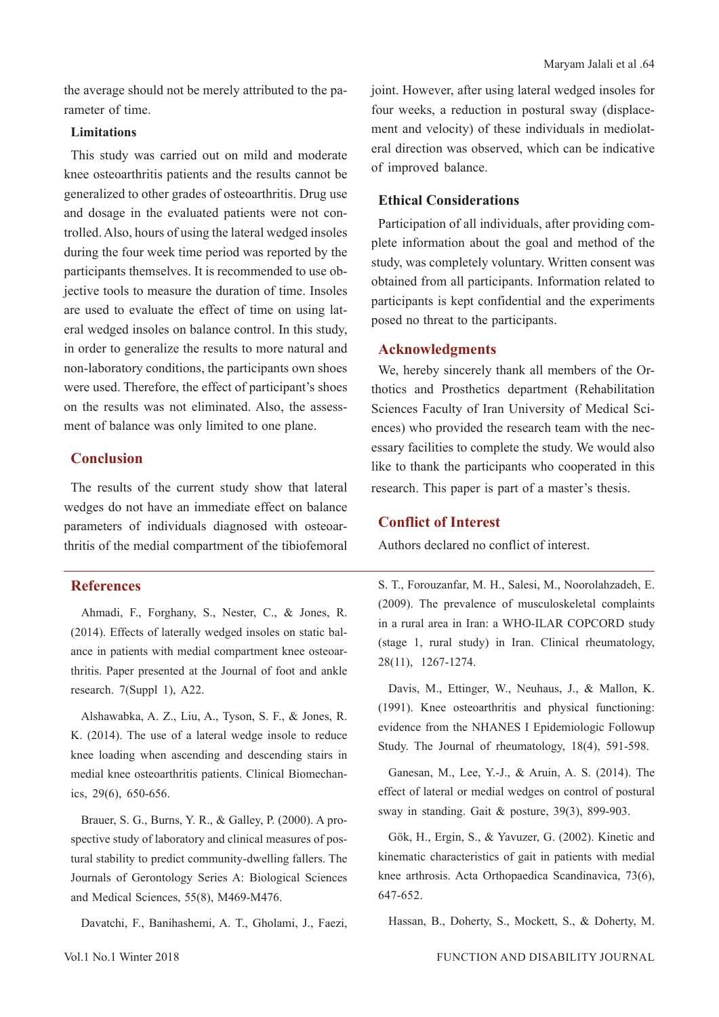### **Limitations**

This study was carried out on mild and moderate knee osteoarthritis patients and the results cannot be generalized to other grades of osteoarthritis. Drug use and dosage in the evaluated patients were not controlled. Also, hours of using the lateral wedged insoles during the four week time period was reported by the participants themselves. It is recommended to use objective tools to measure the duration of time. Insoles are used to evaluate the effect of time on using lateral wedged insoles on balance control. In this study, in order to generalize the results to more natural and non-laboratory conditions, the participants own shoes were used. Therefore, the effect of participant's shoes on the results was not eliminated. Also, the assessment of balance was only limited to one plane.

# **Conclusion**

The results of the current study show that lateral wedges do not have an immediate effect on balance parameters of individuals diagnosed with osteoarthritis of the medial compartment of the tibiofemoral

# **References**

Ahmadi, F., Forghany, S., Nester, C., & Jones, R. (2014). Effects of laterally wedged insoles on static balance in patients with medial compartment knee osteoarthritis. Paper presented at the Journal of foot and ankle research. 7(Suppl 1), A22.

Alshawabka, A. Z., Liu, A., Tyson, S. F., & Jones, R. K. (2014). The use of a lateral wedge insole to reduce knee loading when ascending and descending stairs in medial knee osteoarthritis patients. Clinical Biomechanics, 29(6), 650-656.

Brauer, S. G., Burns, Y. R., & Galley, P. (2000). A prospective study of laboratory and clinical measures of postural stability to predict community-dwelling fallers. The Journals of Gerontology Series A: Biological Sciences and Medical Sciences, 55(8), M469-M476.

Davatchi, F., Banihashemi, A. T., Gholami, J., Faezi,

joint. However, after using lateral wedged insoles for four weeks, a reduction in postural sway (displacement and velocity) of these individuals in mediolateral direction was observed, which can be indicative of improved balance.

# **Ethical Considerations**

Participation of all individuals, after providing complete information about the goal and method of the study, was completely voluntary. Written consent was obtained from all participants. Information related to participants is kept confidential and the experiments posed no threat to the participants.

# **Acknowledgments**

We, hereby sincerely thank all members of the Orthotics and Prosthetics department (Rehabilitation Sciences Faculty of Iran University of Medical Sciences) who provided the research team with the necessary facilities to complete the study. We would also like to thank the participants who cooperated in this research. This paper is part of a master's thesis.

# **Conflict of Interest**

Authors declared no conflict of interest.

S. T., Forouzanfar, M. H., Salesi, M., Noorolahzadeh, E. (2009). The prevalence of musculoskeletal complaints in a rural area in Iran: a WHO-ILAR COPCORD study (stage 1, rural study) in Iran. Clinical rheumatology, 28(11), 1267-1274.

Davis, M., Ettinger, W., Neuhaus, J., & Mallon, K. (1991). Knee osteoarthritis and physical functioning: evidence from the NHANES I Epidemiologic Followup Study. The Journal of rheumatology, 18(4), 591-598.

Ganesan, M., Lee, Y.-J., & Aruin, A. S. (2014). The effect of lateral or medial wedges on control of postural sway in standing. Gait & posture, 39(3), 899-903.

Gök, H., Ergin, S., & Yavuzer, G. (2002). Kinetic and kinematic characteristics of gait in patients with medial knee arthrosis. Acta Orthopaedica Scandinavica, 73(6), 647-652.

Hassan, B., Doherty, S., Mockett, S., & Doherty, M.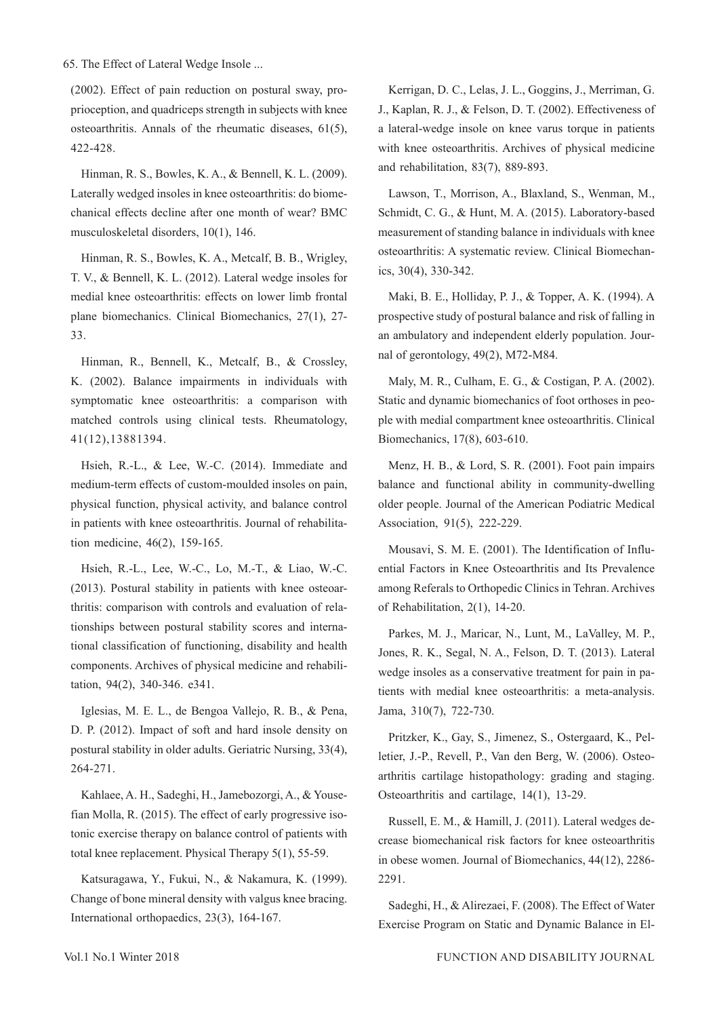(2002). Effect of pain reduction on postural sway, proprioception, and quadriceps strength in subjects with knee osteoarthritis. Annals of the rheumatic diseases, 61(5), 422-428.

Hinman, R. S., Bowles, K. A., & Bennell, K. L. (2009). Laterally wedged insoles in knee osteoarthritis: do biomechanical effects decline after one month of wear? BMC musculoskeletal disorders, 10(1), 146.

Hinman, R. S., Bowles, K. A., Metcalf, B. B., Wrigley, T. V., & Bennell, K. L. (2012). Lateral wedge insoles for medial knee osteoarthritis: effects on lower limb frontal plane biomechanics. Clinical Biomechanics, 27(1), 27- 33.

Hinman, R., Bennell, K., Metcalf, B., & Crossley, K. (2002). Balance impairments in individuals with symptomatic knee osteoarthritis: a comparison with matched controls using clinical tests. Rheumatology, 41(12),13881394.

Hsieh, R.-L., & Lee, W.-C. (2014). Immediate and medium-term effects of custom-moulded insoles on pain, physical function, physical activity, and balance control in patients with knee osteoarthritis. Journal of rehabilitation medicine, 46(2), 159-165.

Hsieh, R.-L., Lee, W.-C., Lo, M.-T., & Liao, W.-C. (2013). Postural stability in patients with knee osteoarthritis: comparison with controls and evaluation of relationships between postural stability scores and international classification of functioning, disability and health components. Archives of physical medicine and rehabilitation, 94(2), 340-346. e341.

Iglesias, M. E. L., de Bengoa Vallejo, R. B., & Pena, D. P. (2012). Impact of soft and hard insole density on postural stability in older adults. Geriatric Nursing, 33(4), 264-271.

Kahlaee, A. H., Sadeghi, H., Jamebozorgi, A., & Yousefian Molla, R. (2015). The effect of early progressive isotonic exercise therapy on balance control of patients with total knee replacement. Physical Therapy 5(1), 55-59.

Katsuragawa, Y., Fukui, N., & Nakamura, K. (1999). Change of bone mineral density with valgus knee bracing. International orthopaedics, 23(3), 164-167.

Kerrigan, D. C., Lelas, J. L., Goggins, J., Merriman, G. J., Kaplan, R. J., & Felson, D. T. (2002). Effectiveness of a lateral-wedge insole on knee varus torque in patients with knee osteoarthritis. Archives of physical medicine and rehabilitation, 83(7), 889-893.

Lawson, T., Morrison, A., Blaxland, S., Wenman, M., Schmidt, C. G., & Hunt, M. A. (2015). Laboratory-based measurement of standing balance in individuals with knee osteoarthritis: A systematic review. Clinical Biomechanics, 30(4), 330-342.

Maki, B. E., Holliday, P. J., & Topper, A. K. (1994). A prospective study of postural balance and risk of falling in an ambulatory and independent elderly population. Journal of gerontology, 49(2), M72-M84.

Maly, M. R., Culham, E. G., & Costigan, P. A. (2002). Static and dynamic biomechanics of foot orthoses in people with medial compartment knee osteoarthritis. Clinical Biomechanics, 17(8), 603-610.

Menz, H. B., & Lord, S. R. (2001). Foot pain impairs balance and functional ability in community-dwelling older people. Journal of the American Podiatric Medical Association, 91(5), 222-229.

Mousavi, S. M. E. (2001). The Identification of Influential Factors in Knee Osteoarthritis and Its Prevalence among Referals to Orthopedic Clinics in Tehran. Archives of Rehabilitation, 2(1), 14-20.

Parkes, M. J., Maricar, N., Lunt, M., LaValley, M. P., Jones, R. K., Segal, N. A., Felson, D. T. (2013). Lateral wedge insoles as a conservative treatment for pain in patients with medial knee osteoarthritis: a meta-analysis. Jama, 310(7), 722-730.

Pritzker, K., Gay, S., Jimenez, S., Ostergaard, K., Pelletier, J.-P., Revell, P., Van den Berg, W. (2006). Osteoarthritis cartilage histopathology: grading and staging. Osteoarthritis and cartilage, 14(1), 13-29.

Russell, E. M., & Hamill, J. (2011). Lateral wedges decrease biomechanical risk factors for knee osteoarthritis in obese women. Journal of Biomechanics, 44(12), 2286- 2291.

Sadeghi, H., & Alirezaei, F. (2008). The Effect of Water Exercise Program on Static and Dynamic Balance in El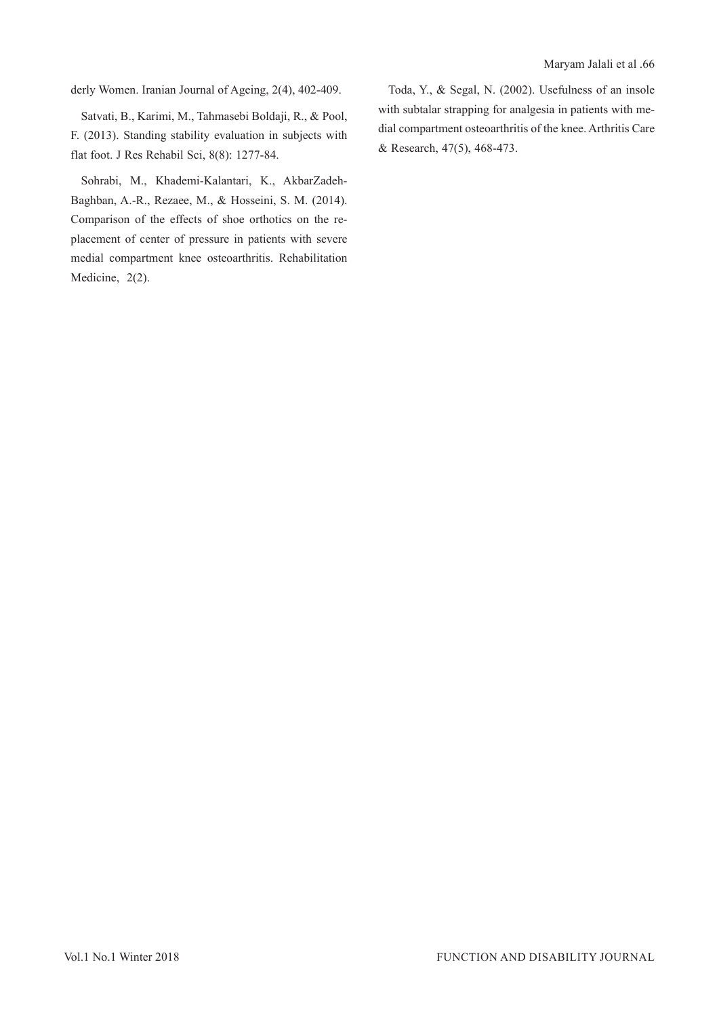derly Women. Iranian Journal of Ageing, 2(4), 402-409.

Satvati, B., Karimi, M., Tahmasebi Boldaji, R., & Pool, F. (2013). Standing stability evaluation in subjects with flat foot. J Res Rehabil Sci, 8(8): 1277-84.

Sohrabi, M., Khademi-Kalantari, K., AkbarZadeh-Baghban, A.-R., Rezaee, M., & Hosseini, S. M. (2014). Comparison of the effects of shoe orthotics on the replacement of center of pressure in patients with severe medial compartment knee osteoarthritis. Rehabilitation Medicine, 2(2).

Toda, Y., & Segal, N. (2002). Usefulness of an insole with subtalar strapping for analgesia in patients with medial compartment osteoarthritis of the knee. Arthritis Care & Research, 47(5), 468-473.